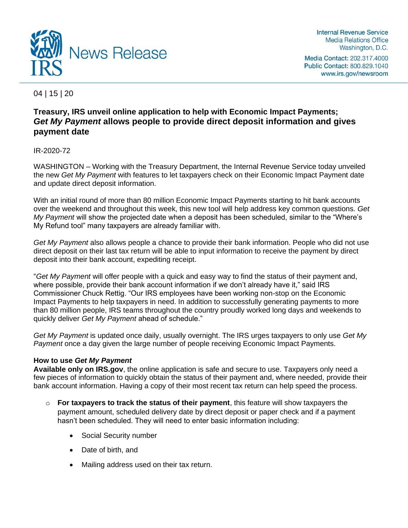

Internal Revenue Service **Media Relations Office** Washington, D.C.

Media Contact: 202.317.4000 Public Contact: 800.829.1040 www.irs.gov/newsroom

04 | 15 | 20

# **Treasury, IRS unveil online application to help with Economic Impact Payments;** *Get My Payment* **allows people to provide direct deposit information and gives payment date**

IR-2020-72

WASHINGTON – Working with the Treasury Department, the Internal Revenue Service today unveiled the new *Get My Payment* with features to let taxpayers check on their Economic Impact Payment date and update direct deposit information.

With an initial round of more than 80 million Economic Impact Payments starting to hit bank accounts over the weekend and throughout this week, this new tool will help address key common questions. *Get My Payment* will show the projected date when a deposit has been scheduled, similar to the "Where's My Refund tool" many taxpayers are already familiar with.

*Get My Payment* also allows people a chance to provide their bank information. People who did not use direct deposit on their last tax return will be able to input information to receive the payment by direct deposit into their bank account, expediting receipt.

"*Get My Payment* will offer people with a quick and easy way to find the status of their payment and, where possible, provide their bank account information if we don't already have it," said IRS Commissioner Chuck Rettig. "Our IRS employees have been working non-stop on the Economic Impact Payments to help taxpayers in need. In addition to successfully generating payments to more than 80 million people, IRS teams throughout the country proudly worked long days and weekends to quickly deliver *Get My Payment* ahead of schedule."

*Get My Payment* is updated once daily, usually overnight. The IRS urges taxpayers to only use *Get My Payment* once a day given the large number of people receiving Economic Impact Payments.

## **How to use** *Get My Payment*

**Available only on IRS.gov**, the online application is safe and secure to use. Taxpayers only need a few pieces of information to quickly obtain the status of their payment and, where needed, provide their bank account information. Having a copy of their most recent tax return can help speed the process.

- o **For taxpayers to track the status of their payment**, this feature will show taxpayers the payment amount, scheduled delivery date by direct deposit or paper check and if a payment hasn't been scheduled. They will need to enter basic information including:
	- Social Security number
	- Date of birth, and
	- Mailing address used on their tax return.